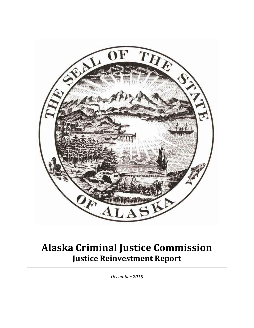

# **Alaska Criminal Justice Commission Justice Reinvestment Report**

*December 2015*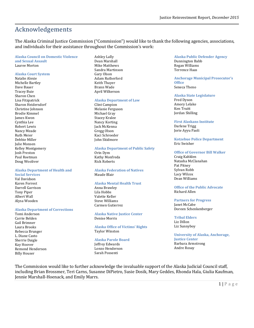# Acknowledgements

The Alaska Criminal Justice Commission ("Commission") would like to thank the following agencies, associations, and individuals for their assistance throughout the Commission's work:

#### **Alaska Council on Domestic Violence**

**and Sexual Assault**  Lauree Morton

#### **Alaska Court System**

Natalie Alexie Michelle Bartley Dave Bauer Tracey Buie Sharon Chen Lisa Fitzpatrick Sharon Heidersdorf Christine Johnson Brodie Kimmel James Kwon Cynthia Lee Robert Lewis Nancy Meade Ruth Meier Debbie Miller Julie Monsen Kelley Montgomery Josh Preston Paul Roetman Doug Wooliver

#### **Alaska Department of Health and**

**Social Services** Val Davidson Karen Forrest Darrell Garrison Tony Piper Albert Wall Alysa Wooden

#### **Alaska Department of Corrections**

Tomi Anderson Carrie Belden Gail Brimner Laura Brooks Rebecca Brunger L. Diane Casto Sherrie Daigle Kay Hoover Remond Henderson Billy Houser

Ashley Lally Dean Marshall Mike Matthews Sandra Martinson Gary Olson Adam Rutherford Keith Thayer Brann Wade April Wilkerson

#### **Alaska Department of Law**

Clint Campion Melanie Ferguson Michael Gray Stacey Kralee Nancy Korting Jack McKenna Gregg Olson Kaci Schroeder John Skidmore

#### **Alaska Department of Public Safety**

Orin Dym Kathy Monfreda Rick Roberts

**Alaska Federation of Natives**  Maude Blair

#### **Alaska Mental Health Trust**

Anna Brawley Lila Hobbs Valette Keller Steve Williams Carmen Gutierrez

**Alaska Native Justice Center**  Denise Morris

**Alaska Office of Victims' Rights**  Taylor Winston

#### **Alaska Parole Board** Jeffrey Edwards Lonzo Henderson

Sarah Possenti

#### **Alaska Public Defender Agency**  Dunnington Babb Regan Williams Terrence Haas

#### **Anchorage Municipal Prosecutor's Office** Seneca Theno

#### **Alaska State Legislature**

Fred Dyson Amory Lelake Ken Truitt Jordan Shilling

#### **First Alaskans Institute**

Darlene Trigg Jorie Ayyu Paoli

#### **Kotzebue Police Department**  Eric Swisher

#### **Office of Governor Bill Walker**

Craig Kahklen Natasha McClanahan Pat Pitney Sylvan Robb Lacy Wilcox Dean Williams

#### **Office of the Public Advocate** Richard Allen

#### **Partners for Progress**

Janet McCabe Doreen Schenkenberger

#### **Tribal Elders**

Liz Dillon Liz Sunnyboy

**University of Alaska, Anchorage, Justice Center** Barbara Armstrong Andre Rosay

The Commission would like to further acknowledge the invaluable support of the Alaska Judicial Council staff, including Brian Brossmer, Teri Carns, Susanne DiPietro, Susie Dosik, Mary Geddes, Rhonda Hala, Giulia Kaufman, Jennie Marshall-Hoenack, and Emily Marrs.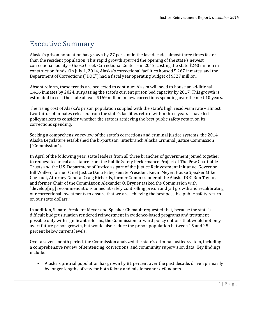# Executive Summary

Alaska's prison population has grown by 27 percent in the last decade, almost three times faster than the resident population. This rapid growth spurred the opening of the state's newest correctional facility – Goose Creek Correctional Center – in 2012, costing the state \$240 million in construction funds. On July 1, 2014, Alaska's correctional facilities housed 5,267 inmates, and the Department of Corrections ("DOC") had a fiscal year operating budget of \$327 million.

Absent reform, these trends are projected to continue: Alaska will need to house an additional 1,416 inmates by 2024, surpassing the state's current prison bed capacity by 2017. This growth is estimated to cost the state at least \$169 million in new corrections spending over the next 10 years.

The rising cost of Alaska's prison population coupled with the state's high recidivism rate – almost two-thirds of inmates released from the state's facilities return within three years – have led policymakers to consider whether the state is achieving the best public safety return on its corrections spending.

Seeking a comprehensive review of the state's corrections and criminal justice systems, the 2014 Alaska Legislature established the bi-partisan, interbranch Alaska Criminal Justice Commission ("Commission").

In April of the following year, state leaders from all three branches of government joined together to request technical assistance from the Public Safety Performance Project of The Pew Charitable Trusts and the U.S. Department of Justice as part of the Justice Reinvestment Initiative. Governor Bill Walker, former Chief Justice Dana Fabe, Senate President Kevin Meyer, House Speaker Mike Chenault, Attorney General Craig Richards, former Commissioner of the Alaska DOC Ron Taylor, and former Chair of the Commission Alexander O. Bryner tasked the Commission with "develop[ing] recommendations aimed at safely controlling prison and jail growth and recalibrating our correctional investments to ensure that we are achieving the best possible public safety return on our state dollars."

In addition, Senate President Meyer and Speaker Chenault requested that, because the state's difficult budget situation rendered reinvestment in evidence-based programs and treatment possible only with significant reforms, the Commission forward policy options that would not only avert future prison growth, but would also reduce the prison population between 15 and 25 percent below current levels.

Over a seven-month period, the Commission analyzed the state's criminal justice system, including a comprehensive review of sentencing, corrections, and community supervision data. Key findings include:

 Alaska's pretrial population has grown by 81 percent over the past decade, driven primarily by longer lengths of stay for both felony and misdemeanor defendants.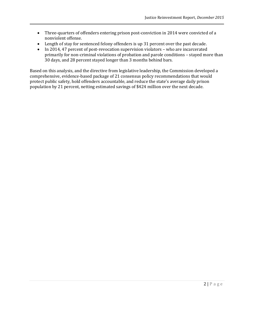- Three-quarters of offenders entering prison post-conviction in 2014 were convicted of a nonviolent offense.
- Length of stay for sentenced felony offenders is up 31 percent over the past decade.
- In 2014, 47 percent of post-revocation supervision violators who are incarcerated primarily for non-criminal violations of probation and parole conditions – stayed more than 30 days, and 28 percent stayed longer than 3 months behind bars.

Based on this analysis, and the directive from legislative leadership, the Commission developed a comprehensive, evidence-based package of 21 consensus policy recommendations that would protect public safety, hold offenders accountable, and reduce the state's average daily prison population by 21 percent, netting estimated savings of \$424 million over the next decade.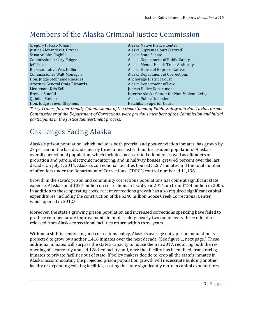# Members of the Alaska Criminal Justice Commission

Gregory P. Razo (Chair) **Alaska Native Justice Center** Alaska Native Justice Center Justice Alexander O. Bryner Alaska Supreme Court (retired) Senator John Coghill **Alaska State Senate** Alaska State Senate Commissioner Gary Folger Alaska Department of Public Safety Jeff Jessee Alaska Mental Health Trust Authority Representative Wes Keller Alaska House of Representatives Commissioner Walt Monegan Alaska Department of Corrections Hon. Judge Stephanie Rhoades Anchorage District Court Attorney General Craig Richards Alaska Department of Law Lieutenant Kris Sell Juneau Police Department Brenda Stanfill **Interior Alaska Center for Non-Violent Living** Quinlan Steiner Alaska Public Defender Hon. Judge Trevor Stephens Ketchikan Superior Court

*Terry Vrabec, former Deputy Commissioner of the Department of Public Safety and Ron Taylor, former Commissioner of the Department of Corrections, were previous members of the Commission and initial participants in the Justice Reinvestment process.* 

# Challenges Facing Alaska

Alaska's prison population, which includes both pretrial and post-conviction inmates, has grown by 27 percent in the last decade, nearly three times faster than the resident population.<sup>1</sup> Alaska's overall correctional population, which includes incarcerated offenders as well as offenders on probation and parole, electronic monitoring, and in halfway houses, grew 45 percent over the last decade. On July 1, 2014, Alaska's correctional facilities housed 5,267 inmates and the total number of offenders under the Department of Corrections' ("DOC") control numbered 11,136.

Growth in the state's prison and community corrections populations has come at significant state expense. Alaska spent \$327 million on corrections in fiscal year 2014, up from \$184 million in 2005. In addition to these operating costs, recent corrections growth has also required significant capital expenditures, including the construction of the \$240 million Goose Creek Correctional Center, which opened in 2012.<sup>2</sup>

Moreover, the state's growing prison population and increased corrections spending have failed to produce commensurate improvements in public safety: nearly two out of every three offenders released from Alaska correctional facilities return within three years.

Without a shift in sentencing and corrections policy, Alaska's average daily prison population is projected to grow by another 1,416 inmates over the next decade. (See figure 1, next page.) These additional inmates will surpass the state's capacity to house them in 2017, requiring both the reopening of a currently unused 128-bed facility and, once that facility has been filled, transferring inmates to private facilities out of state. If policy makers decide to keep all the state's inmates in Alaska, accommodating the projected prison population growth will necessitate building another facility or expanding existing facilities, costing the state significantly more in capital expenditures.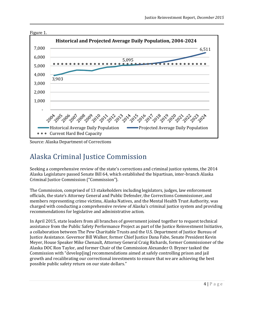

Source: Alaska Department of Corrections

# Alaska Criminal Justice Commission

Seeking a comprehensive review of the state's corrections and criminal justice systems, the 2014 Alaska Legislature passed Senate Bill 64, which established the bipartisan, inter-branch Alaska Criminal Justice Commission ("Commission").

The Commission, comprised of 13 stakeholders including legislators, judges, law enforcement officials, the state's Attorney General and Public Defender, the Corrections Commissioner, and members representing crime victims, Alaska Natives, and the Mental Health Trust Authority, was charged with conducting a comprehensive review of Alaska's criminal justice system and providing recommendations for legislative and administrative action.

In April 2015, state leaders from all branches of government joined together to request technical assistance from the Public Safety Performance Project as part of the Justice Reinvestment Initiative, a collaboration between The Pew Charitable Trusts and the U.S. Department of Justice Bureau of Justice Assistance. Governor Bill Walker, former Chief Justice Dana Fabe, Senate President Kevin Meyer, House Speaker Mike Chenault, Attorney General Craig Richards, former Commissioner of the Alaska DOC Ron Taylor, and former Chair of the Commission Alexander O. Bryner tasked the Commission with "develop[ing] recommendations aimed at safely controlling prison and jail growth and recalibrating our correctional investments to ensure that we are achieving the best possible public safety return on our state dollars."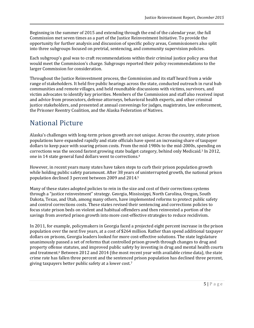Beginning in the summer of 2015 and extending through the end of the calendar year, the full Commission met seven times as a part of the Justice Reinvestment Initiative. To provide the opportunity for further analysis and discussion of specific policy areas, Commissioners also split into three subgroups focused on pretrial, sentencing, and community supervision policies.

Each subgroup's goal was to craft recommendations within their criminal justice policy area that would meet the Commission's charge. Subgroups reported their policy recommendations to the larger Commission for consideration.

Throughout the Justice Reinvestment process, the Commission and its staff heard from a wide range of stakeholders. It held five public hearings across the state, conducted outreach in rural hub communities and remote villages, and held roundtable discussions with victims, survivors, and victim advocates to identify key priorities. Members of the Commission and staff also received input and advice from prosecutors, defense attorneys, behavioral health experts, and other criminal justice stakeholders, and presented at annual convenings for judges, magistrates, law enforcement, the Prisoner Reentry Coalition, and the Alaska Federation of Natives.

# National Picture

Alaska's challenges with long-term prison growth are not unique. Across the country, state prison populations have expanded rapidly and state officials have spent an increasing share of taxpayer dollars to keep pace with soaring prison costs. From the mid-1980s to the mid-2000s, spending on corrections was the second fastest growing state budget category, behind only Medicaid.<sup>3</sup> In 2012, one in 14 state general fund dollars went to corrections.<sup>4</sup>

However, in recent years many states have taken steps to curb their prison population growth while holding public safety paramount. After 38 years of uninterrupted growth, the national prison population declined 3 percent between 2009 and 2014. 5

Many of these states adopted policies to rein in the size and cost of their corrections systems through a "justice reinvestment" strategy. Georgia, Mississippi, North Carolina, Oregon, South Dakota, Texas, and Utah, among many others, have implemented reforms to protect public safety and control corrections costs. These states revised their sentencing and corrections policies to focus state prison beds on violent and habitual offenders and then reinvested a portion of the savings from averted prison growth into more cost-effective strategies to reduce recidivism.

In 2011, for example, policymakers in Georgia faced a projected eight percent increase in the prison population over the next five years, at a cost of \$264 million. Rather than spend additional taxpayer dollars on prisons, Georgia leaders looked for more cost‐effective solutions. The state legislature unanimously passed a set of reforms that controlled prison growth through changes to drug and property offense statutes, and improved public safety by investing in drug and mental health courts and treatment.<sup>6</sup> Between 2012 and 2014 (the most recent year with available crime data), the state crime rate has fallen three percent and the sentenced prison population has declined three percent, giving taxpayers better public safety at a lower cost. 7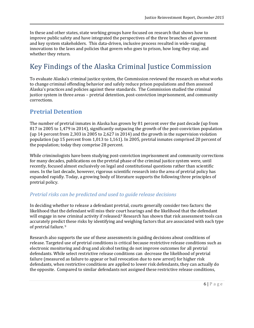In these and other states, state working groups have focused on research that shows how to improve public safety and have integrated the perspectives of the three branches of government and key system stakeholders. This data-driven, inclusive process resulted in wide-ranging innovations to the laws and policies that govern who goes to prison, how long they stay, and whether they return.

# Key Findings of the Alaska Criminal Justice Commission

To evaluate Alaska's criminal justice system, the Commission reviewed the research on what works to change criminal offending behavior and safely reduce prison populations and then assessed Alaska's practices and policies against these standards. The Commission studied the criminal justice system in three areas – pretrial detention, post-conviction imprisonment, and community corrections.

# **Pretrial Detention**

The number of pretrial inmates in Alaska has grown by 81 percent over the past decade (up from 817 in 2005 to 1,479 in 2014), significantly outpacing the growth of the post-conviction population (up 14 percent from 2,303 in 2005 to 2,627 in 2014) and the growth in the supervision violation population (up 15 percent from 1,013 to 1,161). In 2005, pretrial inmates comprised 20 percent of the population; today they comprise 28 percent.

While criminologists have been studying post-conviction imprisonment and community corrections for many decades, publications on the pretrial phase of the criminal justice system were, until recently, focused almost exclusively on legal and constitutional questions rather than scientific ones. In the last decade, however, rigorous scientific research into the area of pretrial policy has expanded rapidly. Today, a growing body of literature supports the following three principles of pretrial policy.

## *Pretrial risks can be predicted and used to guide release decisions*

In deciding whether to release a defendant pretrial, courts generally consider two factors: the likelihood that the defendant will miss their court hearings and the likelihood that the defendant will engage in new criminal activity if released.<sup>8</sup> Research has shown that risk assessment tools can accurately predict these risks by identifying and weighing factors that are associated with each type of pretrial failure. <sup>9</sup>

Research also supports the use of these assessments in guiding decisions about conditions of release. Targeted use of pretrial conditions is critical because restrictive release conditions such as electronic monitoring and drug and alcohol testing do not improve outcomes for all pretrial defendants. While select restrictive release conditions can decrease the likelihood of pretrial failure (measured as failure to appear or bail revocation due to new arrest) for higher risk defendants, when restrictive conditions are applied to lower risk defendants, they can actually do the opposite. Compared to similar defendants not assigned these restrictive release conditions,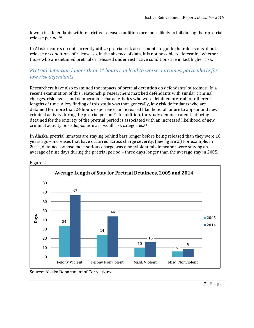lower risk defendants with restrictive release conditions are more likely to fail during their pretrial release period. 10

In Alaska, courts do not currently utilize pretrial risk assessments to guide their decisions about release or conditions of release, so, in the absence of data, it is not possible to determine whether those who are detained pretrial or released under restrictive conditions are in fact higher risk.

## *Pretrial detention longer than 24 hours can lead to worse outcomes, particularly for low risk defendants*

Researchers have also examined the impacts of pretrial detention on defendants' outcomes. In a recent examination of this relationship, researchers matched defendants with similar criminal charges, risk levels, and demographic characteristics who were detained pretrial for different lengths of time. A key finding of this study was that, generally, low risk defendants who are detained for more than 24 hours experience an increased likelihood of failure to appear and new criminal activity during the pretrial period.11 In addition, the study demonstrated that being detained for the entirety of the pretrial period is associated with an increased likelihood of new criminal activity post-disposition across all risk categories. 12

In Alaska, pretrial inmates are staying behind bars longer before being released than they were 10 years ago – increases that have occurred across charge severity. (See figure 2.) For example, in 2014, detainees whose most serious charge was a nonviolent misdemeanor were staying an average of nine days during the pretrial period – three days longer than the average stay in 2005.



Figure 2.

Source: Alaska Department of Corrections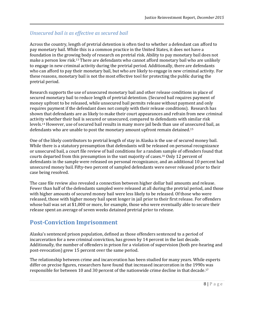## *Unsecured bail is as effective as secured bail*

Across the country, length of pretrial detention is often tied to whether a defendant can afford to pay monetary bail. While this is a common practice in the United States, it does not have a foundation in the growing body of research on pretrial risk. Ability to pay monetary bail does not make a person low risk. <sup>13</sup> There are defendants who cannot afford monetary bail who are unlikely to engage in new criminal activity during the pretrial period. Additionally, there are defendants who can afford to pay their monetary bail, but who are likely to engage in new criminal activity. For these reasons, monetary bail is not the most effective tool for protecting the public during the pretrial period.

Research supports the use of unsecured monetary bail and other release conditions in place of secured monetary bail to reduce length of pretrial detention. (Secured bail requires payment of money upfront to be released, while unsecured bail permits release without payment and only requires payment if the defendant does not comply with their release conditions). Research has shown that defendants are as likely to make their court appearances and refrain from new criminal activity whether their bail is secured or unsecured, compared to defendants with similar risk levels. <sup>14</sup> However, use of secured bail results in many more jail beds than use of unsecured bail, as defendants who are unable to post the monetary amount upfront remain detained.<sup>15</sup>

One of the likely contributors to pretrial length of stay in Alaska is the use of secured money bail. While there is a statutory presumption that defendants will be released on personal recognizance or unsecured bail, a court file review of bail conditions for a random sample of offenders found that courts departed from this presumption in the vast majority of cases.<sup>16</sup> Only 12 percent of defendants in the sample were released on personal recognizance, and an additional 10 percent had unsecured money bail. Fifty-two percent of sampled defendants were never released prior to their case being resolved.

The case file review also revealed a connection between higher dollar bail amounts and release. Fewer than half of the defendants sampled were released at all during the pretrial period, and those with higher amounts of secured money bail were less likely to be released. Of those who were released, those with higher money bail spent longer in jail prior to their first release. For offenders whose bail was set at \$1,000 or more, for example, those who were eventually able to secure their release spent an average of seven weeks detained pretrial prior to release.

# **Post-Conviction Imprisonment**

Alaska's sentenced prison population, defined as those offenders sentenced to a period of incarceration for a new criminal conviction, has grown by 14 percent in the last decade. Additionally, the number of offenders in prison for a violation of supervision (both pre-hearing and post-revocation) grew 15 percent over the same period.

The relationship between crime and incarceration has been studied for many years. While experts differ on precise figures, researchers have found that increased incarceration in the 1990s was responsible for between 10 and 30 percent of the nationwide crime decline in that decade. 17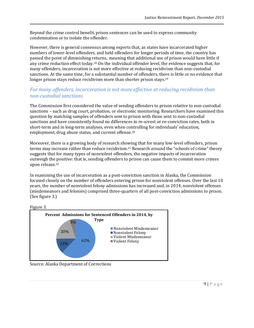Beyond the crime control benefit, prison sentences can be used to express community condemnation or to isolate the offender.

However, there is general consensus among experts that, as states have incarcerated higher numbers of lower-level offenders, and held offenders for longer periods of time, the country has passed the point of diminishing returns, meaning that additional use of prison would have little if any crime reduction effect today.<sup>18</sup> On the individual offender level, the evidence suggests that, for many offenders, incarceration is not more effective at reducing recidivism than non-custodial sanctions. At the same time, for a substantial number of offenders, there is little or no evidence that longer prison stays reduce recidivism more than shorter prison stays.<sup>19</sup>

## *For many offenders, incarceration is not more effective at reducing recidivism than non-custodial sanctions*

The Commission first considered the value of sending offenders to prison relative to non-custodial sanctions – such as drug court, probation, or electronic monitoring. Researchers have examined this question by matching samples of offenders sent to prison with those sent to non-custodial sanctions and have consistently found no differences in re-arrest or re-conviction rates, both in short-term and in long-term analyses, even when controlling for individuals' education, employment, drug abuse status, and current offense.<sup>20</sup>

Moreover, there is a growing body of research showing that for many low-level offenders, prison terms may increase rather than reduce recidivism.<sup>21</sup> Research around the "schools of crime" theory suggests that for many types of nonviolent offenders, the negative impacts of incarceration outweigh the positive: that is, sending offenders to prison can cause them to commit more crimes upon release.<sup>22</sup>

In examining the use of incarceration as a post-conviction sanction in Alaska, the Commission focused closely on the number of offenders entering prison for nonviolent offenses. Over the last 10 years, the number of nonviolent felony admissions has increased and, in 2014, nonviolent offenses (misdemeanors and felonies) comprised three-quarters of all post-conviction admissions to prison. (See figure 3.)





Source: Alaska Department of Corrections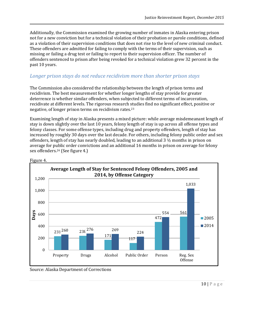Additionally, the Commission examined the growing number of inmates in Alaska entering prison not for a new conviction but for a technical violation of their probation or parole conditions, defined as a violation of their supervision conditions that does not rise to the level of new criminal conduct. These offenders are admitted for failing to comply with the terms of their supervision, such as missing or failing a drug test or failing to report to their supervision officer. The number of offenders sentenced to prison after being revoked for a technical violation grew 32 percent in the past 10 years.

## *Longer prison stays do not reduce recidivism more than shorter prison stays*

The Commission also considered the relationship between the length of prison terms and recidivism. The best measurement for whether longer lengths of stay provide for greater deterrence is whether similar offenders, when subjected to different terms of incarceration, recidivate at different levels. The rigorous research studies find no significant effect, positive or negative, of longer prison terms on recidivism rates.<sup>23</sup>

Examining length of stay in Alaska presents a mixed picture: while average misdemeanant length of stay is down slightly over the last 10 years, felony length of stay is up across all offense types and felony classes. For some offense types, including drug and property offenders, length of stay has increased by roughly 30 days over the last decade. For others, including felony public order and sex offenders, length of stay has nearly doubled, leading to an additional 3 ½ months in prison on average for public order convictions and an additional 16 months in prison on average for felony sex offenders. <sup>24</sup> (See figure 4.)





Source: Alaska Department of Corrections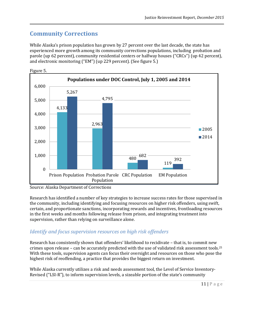# **Community Corrections**

While Alaska's prison population has grown by 27 percent over the last decade, the state has experienced more growth among its community corrections populations, including probation and parole (up 62 percent), community residential centers or halfway houses ("CRCs") (up 42 percent), and electronic monitoring ("EM") (up 229 percent). (See figure 5.)



Source: Alaska Department of Corrections

Research has identified a number of key strategies to increase success rates for those supervised in the community, including identifying and focusing resources on higher risk offenders, using swift, certain, and proportionate sanctions, incorporating rewards and incentives, frontloading resources in the first weeks and months following release from prison, and integrating treatment into supervision, rather than relying on surveillance alone.

## *Identify and focus supervision resources on high risk offenders*

Research has consistently shown that offenders' likelihood to recidivate – that is, to commit new crimes upon release – can be accurately predicted with the use of validated risk assessment tools.<sup>25</sup> With these tools, supervision agents can focus their oversight and resources on those who pose the highest risk of reoffending, a practice that provides the biggest return on investment.

While Alaska currently utilizes a risk and needs assessment tool, the Level of Service Inventory-Revised ("LSI-R"), to inform supervision levels, a sizeable portion of the state's community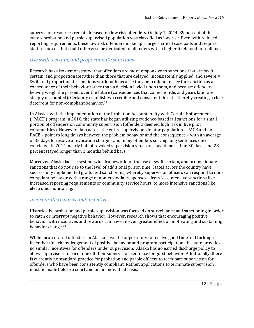supervision resources remain focused on low risk offenders. On July 1, 2014, 39 percent of the state's probation and parole supervised population was classified as low risk. Even with reduced reporting requirements, these low risk offenders make up a large share of caseloads and require staff resources that could otherwise be dedicated to offenders with a higher likelihood to reoffend.

### *Use swift, certain, and proportionate sanctions*

Research has also demonstrated that offenders are more responsive to sanctions that are swift, certain, and proportionate rather than those that are delayed, inconsistently applied, and severe. 26 Swift and proportionate sanctions work both because they help offenders see the sanction as a consequence of their behavior rather than a decision levied upon them, and because offenders heavily weigh the present over the future (consequences that come months and years later are steeply discounted). Certainty establishes a credible and consistent threat – thereby creating a clear deterrent for non-compliant behavior.<sup>27</sup>

In Alaska, with the implementation of the Probation Accountability with Certain Enforcement ("PACE") program in 2010, the state has begun utilizing evidence-based jail sanctions for a small portion of offenders on community supervision (offenders deemed high risk in five pilot communities). However, data across the entire supervision violator population – PACE and non-PACE – point to long delays between the problem behavior and the consequence – with an average of 33 days to resolve a revocation charge – and many offenders serving long sentences once convicted. In 2014, nearly half of revoked supervision violators stayed more than 30 days, and 28 percent stayed longer than 3 months behind bars.

Moreover, Alaska lacks a system-wide framework for the use of swift, certain, and proportionate sanctions that do not rise to the level of additional prison time. States across the country have successfully implemented graduated sanctioning, whereby supervision officers can respond to noncompliant behavior with a range of non-custodial responses – from less intensive sanctions like increased reporting requirements or community service hours, to more intensive sanctions like electronic monitoring.

### *Incorporate rewards and incentives*

Historically, probation and parole supervision was focused on surveillance and sanctioning in order to catch or interrupt negative behavior. However, research shows that encouraging positive behavior with incentives and rewards can have an even greater effect on motivating and sustaining behavior change.<sup>28</sup>

While incarcerated offenders in Alaska have the opportunity to receive good time and furlough incentives in acknowledgement of positive behavior and program participation, the state provides no similar incentives for offenders under supervision. Alaska has no earned discharge policy to allow supervisees to earn time off their supervision sentence for good behavior. Additionally, there is currently no standard practice for probation and parole officers to terminate supervision for offenders who have been consistently compliant. Rather, applications to terminate supervision must be made before a court and on an individual basis.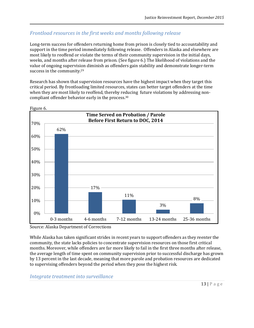## *Frontload resources in the first weeks and months following release*

Long-term success for offenders returning home from prison is closely tied to accountability and support in the time period immediately following release. Offenders in Alaska and elsewhere are most likely to reoffend or violate the terms of their community supervision in the initial days, weeks, and months after release from prison. (See figure 6.) The likelihood of violations and the value of ongoing supervision diminish as offenders gain stability and demonstrate longer-term success in the community.<sup>29</sup>

Research has shown that supervision resources have the highest impact when they target this critical period. By frontloading limited resources, states can better target offenders at the time when they are most likely to reoffend, thereby reducing future violations by addressing noncompliant offender behavior early in the process.<sup>30</sup>



Figure 6.

Source: Alaska Department of Corrections

While Alaska has taken significant strides in recent years to support offenders as they reenter the community, the state lacks policies to concentrate supervision resources on those first critical months. Moreover, while offenders are far more likely to fail in the first three months after release, the average length of time spent on community supervision prior to successful discharge has grown by 13 percent in the last decade, meaning that more parole and probation resources are dedicated to supervising offenders beyond the period when they pose the highest risk.

*Integrate treatment into surveillance*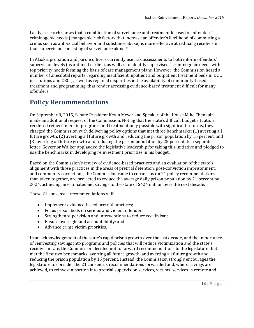Lastly, research shows that a combination of surveillance and treatment focused on offenders' criminogenic needs (changeable risk factors that increase an offender's likelihood of committing a crime, such as anti-social behavior and substance abuse) is more effective at reducing recidivism than supervision consisting of surveillance alone.<sup>31</sup>

In Alaska, probation and parole officers currently use risk assessments to both inform offenders' supervision levels (as outlined earlier), as well as to identify supervisees' criminogenic needs with top priority needs forming the basis of case management plans. However, the Commission heard a number of anecdotal reports regarding insufficient inpatient and outpatient treatment beds in DOC institutions and CRCs, as well as regional disparities in the availability of community-based treatment and programming, that render accessing evidence-based treatment difficult for many offenders.

# **Policy Recommendations**

On September 8, 2015, Senate President Kevin Meyer and Speaker of the House Mike Chenault made an additional request of the Commission. Noting that the state's difficult budget situation rendered reinvestment in programs and treatment only possible with significant reforms, they charged the Commission with delivering policy options that met three benchmarks: (1) averting all future growth, (2) averting all future growth and reducing the prison population by 15 percent, and (3) averting all future growth and reducing the prison population by 25 percent. In a separate letter, Governor Walker applauded the legislative leadership for taking this initiative and pledged to use the benchmarks in developing reinvestment priorities in his budget.

Based on the Commission's review of evidence-based practices and an evaluation of the state's alignment with those practices in the areas of pretrial detention, post-conviction imprisonment, and community corrections, the Commission came to consensus on 21 policy recommendations that, taken together, are projected to reduce the average daily prison population by 21 percent by 2024, achieving an estimated net savings to the state of \$424 million over the next decade.

These 21 consensus recommendations will:

- Implement evidence-based pretrial practices;
- Focus prison beds on serious and violent offenders;
- Strengthen supervision and interventions to reduce recidivism;
- Ensure oversight and accountability; and
- Advance crime victim priorities.

In an acknowledgement of the state's rapid prison growth over the last decade, and the importance of reinvesting savings into programs and policies that will reduce victimization and the state's recidivism rate, the Commission decided not to forward recommendations to the legislature that met the first two benchmarks: averting all future growth, and averting all future growth and reducing the prison population by 15 percent. Instead, the Commission strongly encourages the legislature to consider the 21 consensus recommendations forwarded and, where savings are achieved, to reinvest a portion into pretrial supervision services, victims' services in remote and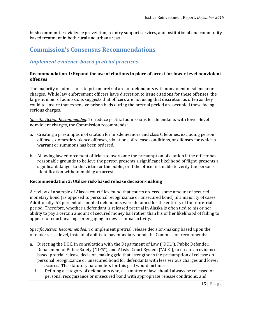bush communities, violence prevention, reentry support services, and institutional and communitybased treatment in both rural and urban areas.

## **Commission's Consensus Recommendations**

## *Implement evidence-based pretrial practices*

#### **Recommendation 1: Expand the use of citations in place of arrest for lower-level nonviolent offenses**

The majority of admissions to prison pretrial are for defendants with nonviolent misdemeanor charges. While law enforcement officers have discretion to issue citations for these offenses, the large number of admissions suggests that officers are not using that discretion as often as they could to ensure that expensive prison beds during the pretrial period are occupied those facing serious charges.

*Specific Action Recommended:* To reduce pretrial admissions for defendants with lower-level nonviolent charges, the Commission recommends:

- a. Creating a presumption of citation for misdemeanors and class C felonies, excluding person offenses, domestic violence offenses, violations of release conditions, or offenses for which a warrant or summons has been ordered.
- b. Allowing law enforcement officials to overcome the presumption of citation if the officer has reasonable grounds to believe the person presents a significant likelihood of flight, presents a significant danger to the victim or the public, or if the officer is unable to verify the person's identification without making an arrest.

### **Recommendation 2: Utilize risk-based release decision-making**

A review of a sample of Alaska court files found that courts ordered some amount of secured monetary bond (as opposed to personal recognizance or unsecured bond) in a majority of cases. Additionally, 52 percent of sampled defendants were detained for the entirety of their pretrial period. Therefore, whether a defendant is released pretrial in Alaska is often tied to his or her ability to pay a certain amount of secured money bail rather than his or her likelihood of failing to appear for court hearings or engaging in new criminal activity.

*Specific Action Recommended:* To implement pretrial release decision-making based upon the offender's risk level, instead of ability to pay monetary bond, the Commission recommends:

- a. Directing the DOC, in consultation with the Department of Law ("DOL"), Public Defender, Department of Public Safety ("DPS"), and Alaska Court System ("ACS"), to create an evidencebased pretrial release decision-making grid that strengthens the presumption of release on personal recognizance or unsecured bond for defendants with less serious charges and lower risk scores. The statutory parameters for this grid would include:
	- i. Defining a category of defendants who, as a matter of law, should always be released on personal recognizance or unsecured bond with appropriate release conditions; and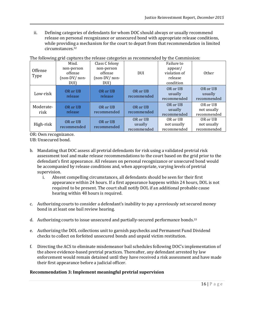ii. Defining categories of defendants for whom DOC should always or usually recommend release on personal recognizance or unsecured bond with appropriate release conditions, while providing a mechanism for the court to depart from that recommendation in limited circumstances. 32

|                   | 00-C                                           |                                                         |                                    |                                                  |                                        |
|-------------------|------------------------------------------------|---------------------------------------------------------|------------------------------------|--------------------------------------------------|----------------------------------------|
| Offense<br>Type   | Misd.<br>non-person<br>offense<br>(non-DV/non- | Class C felony<br>non-person<br>offense<br>(non-DV/non- | <b>DUI</b>                         | Failure to<br>appear/<br>violation of<br>release | Other                                  |
|                   | DUI)                                           | DUI)                                                    |                                    | condition                                        |                                        |
| Low-risk          | OR or UB<br>release                            | OR or UB<br>release                                     | OR or UB<br>recommended            | OR or UB<br>usually<br>recommended               | OR or UB<br>usually<br>recommended     |
| Moderate-<br>risk | OR or UB<br>release                            | OR or UB<br>recommended                                 | OR or UB<br>recommended            | OR or UB<br>usually<br>recommended               | OR or UB<br>not usually<br>recommended |
| High-risk         | OR or UB<br>recommended                        | OR or UB<br>recommended                                 | OR or UB<br>usually<br>recommended | OR or UB<br>not usually<br>recommended           | OR or UB<br>not usually<br>recommended |

The following grid cantures the release categories as recommended by the Commission:

OR: Own recognizance.

UB: Unsecured bond.

- b. Mandating that DOC assess all pretrial defendants for risk using a validated pretrial risk assessment tool and make release recommendations to the court based on the grid prior to the defendant's first appearance. All releases on personal recognizance or unsecured bond would be accompanied by release conditions and, when appropriate, varying levels of pretrial supervision.
	- i. Absent compelling circumstances, all defendants should be seen for their first appearance within 24 hours. If a first appearance happens within 24 hours, DOL is not required to be present. The court shall notify DOL if an additional probable cause hearing within 48 hours is required.
- c. Authorizing courts to consider a defendant's inability to pay a previously set secured money bond in at least one bail review hearing.
- d. Authorizing courts to issue unsecured and partially-secured performance bonds.<sup>33</sup>
- e. Authorizing the DOL collections unit to garnish paychecks and Permanent Fund Dividend checks to collect on forfeited unsecured bonds and unpaid victim restitution.
- f. Directing the ACS to eliminate misdemeanor bail schedules following DOC's implementation of the above evidence-based pretrial practices. Thereafter, any defendant arrested by law enforcement would remain detained until they have received a risk assessment and have made their first appearance before a judicial officer.

### **Recommendation 3: Implement meaningful pretrial supervision**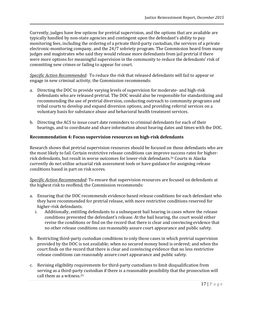Currently, judges have few options for pretrial supervision, and the options that are available are typically handled by non-state agencies and contingent upon the defendant's ability to pay monitoring fees, including the ordering of a private third-party custodian, the services of a private electronic-monitoring company, and the 24/7 sobriety program. The Commission heard from many judges and magistrates who said they would release more defendants from jail pretrial if there were more options for meaningful supervision in the community to reduce the defendants' risk of committing new crimes or failing to appear for court.

*Specific Action Recommended:* To reduce the risk that released defendants will fail to appear or engage in new criminal activity, the Commission recommends:

- a. Directing the DOC to provide varying levels of supervision for moderate- and high-risk defendants who are released pretrial. The DOC would also be responsible for standardizing and recommending the use of pretrial diversion, conducting outreach to community programs and tribal courts to develop and expand diversion options, and providing referral services on a voluntary basis for substance abuse and behavioral health treatment services.
- b. Directing the ACS to issue court date reminders to criminal defendants for each of their hearings, and to coordinate and share information about hearing dates and times with the DOC.

### **Recommendation 4: Focus supervision resources on high-risk defendants**

Research shows that pretrial supervision resources should be focused on those defendants who are the most likely to fail. Certain restrictive release conditions can improve success rates for higherrisk defendants, but result in worse outcomes for lower-risk defendants.<sup>34</sup> Courts in Alaska currently do not utilize actuarial risk assessment tools or have guidance for assigning release conditions based in part on risk scores.

*Specific Action Recommended:* To ensure that supervision resources are focused on defendants at the highest risk to reoffend, the Commission recommends:

- a. Ensuring that the DOC recommends evidence-based release conditions for each defendant who they have recommended for pretrial release, with more restrictive conditions reserved for higher-risk defendants.
	- i. Additionally, entitling defendants to a subsequent bail hearing in cases where the release conditions prevented the defendant's release. At the bail hearing, the court would either revise the conditions or find on the record that there is clear and convincing evidence that no other release conditions can reasonably assure court appearance and public safety.
- b. Restricting third-party custodian conditions to only those cases in which pretrial supervision provided by the DOC is not available; when no secured money bond is ordered; and when the court finds on the record that there is clear and convincing evidence that no less restrictive release conditions can reasonably assure court appearance and public safety.
- c. Revising eligibility requirements for third-party custodians to limit disqualification from serving as a third-party custodian if there is a reasonable possibility that the prosecution will call them as a witness. 35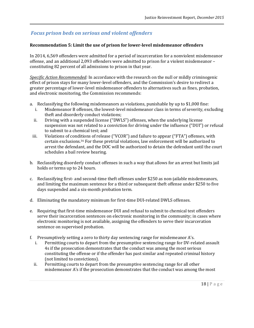## *Focus prison beds on serious and violent offenders*

### **Recommendation 5: Limit the use of prison for lower-level misdemeanor offenders**

In 2014, 6,569 offenders were admitted for a period of incarceration for a nonviolent misdemeanor offense, and an additional 2,093 offenders were admitted to prison for a violent misdemeanor – constituting 82 percent of all admissions to prison in that year.

*Specific Action Recommended:* In accordance with the research on the null or mildly criminogenic effect of prison stays for many lower-level offenders, and the Commission's desire to redirect a greater percentage of lower-level misdemeanor offenders to alternatives such as fines, probation, and electronic monitoring, the Commission recommends:

- a. Reclassifying the following misdemeanors as violations, punishable by up to \$1,000 fine:
	- i. Misdemeanor B offenses, the lowest-level misdemeanor class in terms of severity, excluding theft and disorderly conduct violations;
	- ii. Driving with a suspended license ("DWLS") offenses, when the underlying license suspension was not related to a conviction for driving under the influence ("DUI") or refusal to submit to a chemical test; and
- iii. Violations of conditions of release ("VCOR") and failure to appear ("FTA") offenses, with certain exclusions.<sup>36</sup> For these pretrial violations, law enforcement will be authorized to arrest the defendant, and the DOC will be authorized to detain the defendant until the court schedules a bail review hearing.
- b. Reclassifying disorderly conduct offenses in such a way that allows for an arrest but limits jail holds or terms up to 24 hours.
- c. Reclassifying first- and second-time theft offenses under \$250 as non-jailable misdemeanors, and limiting the maximum sentence for a third or subsequent theft offense under \$250 to five days suspended and a six-month probation term.
- d. Eliminating the mandatory minimum for first-time DUI-related DWLS offenses.
- e. Requiring that first-time misdemeanor DUI and refusal to submit to chemical test offenders serve their incarceration sentences on electronic monitoring in the community; in cases where electronic monitoring is not available, assigning the offenders to serve their incarceration sentence on supervised probation.
- f. Presumptively setting a zero to thirty day sentencing range for misdemeanor A's.
	- i. Permitting courts to depart from the presumptive sentencing range for DV-related assault 4s if the prosecution demonstrates that the conduct was among the most serious constituting the offense or if the offender has past similar and repeated criminal history (not limited to convictions).
	- ii. Permitting courts to depart from the presumptive sentencing range for all other misdemeanor A's if the prosecution demonstrates that the conduct was among the most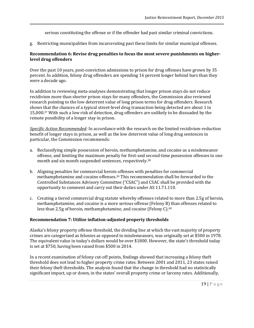serious constituting the offense or if the offender had past similar criminal convictions.

g. Restricting municipalities from incarcerating past these limits for similar municipal offenses.

### **Recommendation 6: Revise drug penalties to focus the most severe punishments on higherlevel drug offenders**

Over the past 10 years, post-conviction admissions to prison for drug offenses have grown by 35 percent. In addition, felony drug offenders are spending 16 percent longer behind bars than they were a decade ago.

In addition to reviewing meta-analyses demonstrating that longer prison stays do not reduce recidivism more than shorter prison stays for many offenders, the Commission also reviewed research pointing to the low deterrent value of long prison terms for drug offenders. Research shows that the chances of a typical street-level drug transaction being detected are about 1 in 15,000.<sup>37</sup> With such a low risk of detection, drug offenders are unlikely to be dissuaded by the remote possibility of a longer stay in prison.

*Specific Action Recommended*: In accordance with the research on the limited recidivism-reduction benefit of longer stays in prison, as well as the low deterrent value of long drug sentences in particular, the Commission recommends:

- a. Reclassifying simple possession of heroin, methamphetamine, and cocaine as a misdemeanor offense, and limiting the maximum penalty for first-and second-time possession offenses to one month and six month suspended sentences, respectively.<sup>38</sup>
- b. Aligning penalties for commercial heroin offenses with penalties for commercial methamphetamine and cocaine offenses.<sup>39</sup> This recommendation shall be forwarded to the Controlled Substances Advisory Committee ("CSAC") and CSAC shall be provided with the opportunity to comment and carry out their duties under AS 11.71.110.
- c. Creating a tiered commercial drug statute whereby offenses related to more than 2.5g of heroin, methamphetamine, and cocaine is a more serious offense (Felony B) than offenses related to less than 2.5g of heroin, methamphetamine, and cocaine (Felony C).<sup>40</sup>

### **Recommendation 7: Utilize inflation-adjusted property thresholds**

Alaska's felony property offense threshold, the dividing line at which the vast majority of property crimes are categorized as felonies as opposed to misdemeanors, was originally set at \$500 in 1978. The equivalent value in today's dollars would be over \$1800. However, the state's threshold today is set at \$750, having been raised from \$500 in 2014.

In a recent examination of felony cut-off points, findings showed that increasing a felony theft threshold does not lead to higher property crime rates. Between 2001 and 2011, 23 states raised their felony theft thresholds. The analysis found that the change in threshold had no statistically significant impact, up or down, in the states' overall property crime or larceny rates. Additionally,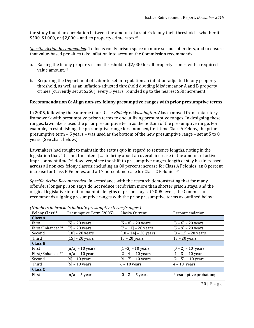the study found no correlation between the amount of a state's felony theft threshold – whether it is \$500, \$1,000, or \$2,000 – and its property crime rates. $41$ 

*Specific Action Recommended:* To focus costly prison space on more serious offenders, and to ensure that value-based penalties take inflation into account, the Commission recommends:

- a. Raising the felony property crime threshold to \$2,000 for all property crimes with a required value amount. 42
- b. Requiring the Department of Labor to set in regulation an inflation-adjusted felony property threshold, as well as an inflation-adjusted threshold dividing Misdemeanor A and B property crimes (currently set at \$250), every 5 years, rounded up to the nearest \$50 increment.

#### **Recommendation 8: Align non-sex felony presumptive ranges with prior presumptive terms**

In 2005, following the Supreme Court Case *Blakely v. Washington,* Alaska moved from a statutory framework with presumptive prison terms to one utilizing presumptive ranges. In designing these ranges, lawmakers used the prior presumptive term as the bottom of the presumptive range. For example, in establishing the presumptive range for a non-sex, first-time Class A Felony, the prior presumptive term – 5 years – was used as the bottom of the new presumptive range – set at 5 to 8 years. (See chart below.)

Lawmakers had sought to maintain the status quo in regard to sentence lengths, noting in the legislation that, "it is not the intent […] to bring about an overall increase in the amount of active imprisonment time."<sup>43</sup> However, since the shift to presumptive ranges, length of stay has increased across all non-sex felony classes: including an 80 percent increase for Class A Felonies, an 8 percent increase for Class B Felonies, and a 17 percent increase for Class C Felonies. 44

*Specific Action Recommended:* In accordance with the research demonstrating that for many offenders longer prison stays do not reduce recidivism more than shorter prison stays, and the original legislative intent to maintain lengths of prison stays at 2005 levels, the Commission recommends aligning presumptive ranges with the prior presumptive terms as outlined below.

| Felony Class <sup>45</sup>   | Presumptive Term (2005)        | Alaska Current         | Recommendation         |  |  |  |
|------------------------------|--------------------------------|------------------------|------------------------|--|--|--|
| <b>Class A</b>               |                                |                        |                        |  |  |  |
| First                        | $[5]$ – 20 years               | $[5 - 8] - 20$ years   | $[3 - 6] - 20$ years   |  |  |  |
| First/Enhanced <sup>46</sup> | [7] – 20 years                 | $[7 - 11] - 20$ years  | $[5 - 9] - 20$ years   |  |  |  |
| Second                       | $[10]$ – 20 years              | $[10 - 14] - 20$ years | $[8 - 12] - 20$ years  |  |  |  |
| Third                        | $[15]$ – 20 years              | $15 - 20$ years        | $13 - 20$ years        |  |  |  |
| <b>Class B</b>               |                                |                        |                        |  |  |  |
| First                        | $\lceil n/a \rceil$ – 10 years | $[1 -3] - 10$ years    | $[0 - 2] - 10$ years   |  |  |  |
| First/Enhanced <sup>47</sup> | $\lceil n/a \rceil$ - 10 years | $[2 - 4] - 10$ years   | $[1 - 3] - 10$ years   |  |  |  |
| Second                       | $[4]$ – 10 years               | $[4 - 7] - 10$ years   | $[2 - 5] - 10$ years   |  |  |  |
| Third                        | $[6]$ – 10 years               | $6 - 10$ years         | $4 - 10$ years         |  |  |  |
| <b>Class C</b>               |                                |                        |                        |  |  |  |
| First                        | $[n/a]$ – 5 years              | $[0 - 2] - 5$ years    | Presumptive probation; |  |  |  |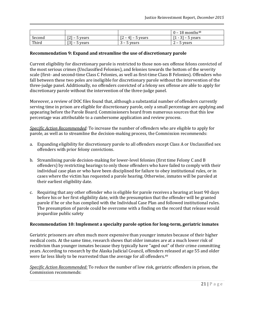|        |                                |                                                          | $0 - 18$ months <sup>48</sup> |
|--------|--------------------------------|----------------------------------------------------------|-------------------------------|
| Second | ro 1<br>– 5 years<br>14 I      | гn<br>$41 -$<br>5 years<br>$\overline{\phantom{0}}$<br>╺ | $31 -$<br>5 years             |
| Third  | <b>FOT</b><br>– 5 years<br>151 | – 5 years                                                | – 5 years                     |

#### **Recommendation 9: Expand and streamline the use of discretionary parole**

Current eligibility for discretionary parole is restricted to those non-sex offense felons convicted of the most serious crimes (Unclassified Felonies), and felonies towards the bottom of the severity scale (first- and second-time Class C Felonies, as well as first-time Class B Felonies). Offenders who fall between these two poles are ineligible for discretionary parole without the intervention of the three-judge panel. Additionally, no offenders convicted of a felony sex offense are able to apply for discretionary parole without the intervention of the three-judge panel.

Moreover, a review of DOC files found that, although a substantial number of offenders currently serving time in prison are eligible for discretionary parole, only a small percentage are applying and appearing before the Parole Board. Commissioners heard from numerous sources that this low percentage was attributable to a cumbersome application and review process.

*Specific Action Recommended:* To increase the number of offenders who are eligible to apply for parole, as well as to streamline the decision-making process, the Commission recommends:

- a. Expanding eligibility for discretionary parole to all offenders except Class A or Unclassified sex offenders with prior felony convictions.
- b. Streamlining parole decision-making for lower-level felonies (first time Felony C and B offenders) by restricting hearings to only those offenders who have failed to comply with their individual case plan or who have been disciplined for failure to obey institutional rules, or in cases where the victim has requested a parole hearing. Otherwise, inmates will be paroled at their earliest eligibility date.
- c. Requiring that any other offender who is eligible for parole receives a hearing at least 90 days before his or her first eligibility date, with the presumption that the offender will be granted parole if he or she has complied with the Individual Case Plan and followed institutional rules. The presumption of parole could be overcome with a finding on the record that release would jeopardize public safety

#### **Recommendation 10: Implement a specialty parole option for long-term, geriatric inmates**

Geriatric prisoners are often much more expensive than younger inmates because of their higher medical costs. At the same time, research shows that older inmates are at a much lower risk of recidivism than younger inmates because they typically have "aged out" of their crime committing years. According to research by the Alaska Judicial Council, offenders released at age 55 and older were far less likely to be rearrested than the average for all offenders.<sup>49</sup>

*Specific Action Recommended:* To reduce the number of low risk, geriatric offenders in prison, the Commission recommends: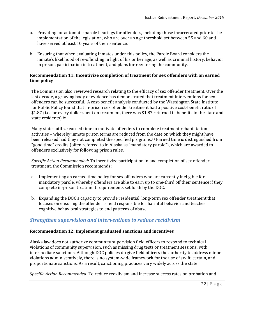- a. Providing for automatic parole hearings for offenders, including those incarcerated prior to the implementation of the legislation, who are over an age threshold set between 55 and 60 and have served at least 10 years of their sentence.
- b. Ensuring that when evaluating inmates under this policy, the Parole Board considers the inmate's likelihood of re-offending in light of his or her age, as well as criminal history, behavior in prison, participation in treatment, and plans for reentering the community.

#### **Recommendation 11: Incentivize completion of treatment for sex offenders with an earned time policy**

The Commission also reviewed research relating to the efficacy of sex offender treatment. Over the last decade, a growing body of evidence has demonstrated that treatment interventions for sex offenders can be successful. A cost-benefit analysis conducted by the Washington State Institute for Public Policy found that in-prison sex offender treatment had a positive cost-benefit ratio of \$1.87 (i.e. for every dollar spent on treatment, there was \$1.87 returned in benefits to the state and state residents).<sup>50</sup>

Many states utilize earned time to motivate offenders to complete treatment rehabilitation activities – whereby inmate prison terms are reduced from the date on which they might have been released had they not completed the specified programs.<sup>51</sup> Earned time is distinguished from "good time" credits (often referred to in Alaska as "mandatory parole"), which are awarded to offenders exclusively for following prison rules.

*Specific Action Recommended*: To incentivize participation in and completion of sex offender treatment, the Commission recommends:

- a. Implementing an earned time policy for sex offenders who are currently ineligible for mandatory parole, whereby offenders are able to earn up to one-third off their sentence if they complete in-prison treatment requirements set forth by the DOC.
- b. Expanding the DOC's capacity to provide residential, long-term sex offender treatment that focuses on ensuring the offender is held responsible for harmful behavior and teaches cognitive behavioral strategies to end patterns of abuse.

### *Strengthen supervision and interventions to reduce recidivism*

### **Recommendation 12: Implement graduated sanctions and incentives**

Alaska law does not authorize community supervision field officers to respond to technical violations of community supervision, such as missing drug tests or treatment sessions, with intermediate sanctions. Although DOC policies do give field officers the authority to address minor violations administratively, there is no system-wide framework for the use of swift, certain, and proportionate sanctions. As a result, sanctioning practices vary widely across the state.

*Specific Action Recommended:* To reduce recidivism and increase success rates on probation and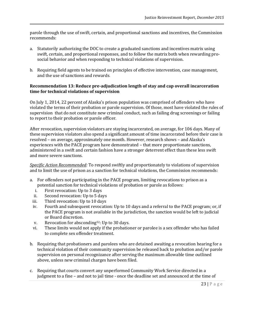parole through the use of swift, certain, and proportional sanctions and incentives, the Commission recommends:

- a. Statutorily authorizing the DOC to create a graduated sanctions and incentives matrix using swift, certain, and proportional responses, and to follow the matrix both when rewarding prosocial behavior and when responding to technical violations of supervision.
- b. Requiring field agents to be trained on principles of effective intervention, case management, and the use of sanctions and rewards.

#### **Recommendation 13: Reduce pre-adjudication length of stay and cap overall incarceration time for technical violations of supervision**

On July 1, 2014, 22 percent of Alaska's prison population was comprised of offenders who have violated the terms of their probation or parole supervision. Of those, most have violated the rules of supervision that do not constitute new criminal conduct, such as failing drug screenings or failing to report to their probation or parole officer.

After revocation, supervision violators are staying incarcerated, on average, for 106 days. Many of these supervision violators also spend a significant amount of time incarcerated before their case is resolved – on average, approximately one month. However, research shows – and Alaska's experiences with the PACE program have demonstrated – that more proportionate sanctions, administered in a swift and certain fashion have a stronger deterrent effect than these less swift and more severe sanctions.

*Specific Action Recommended:* To respond swiftly and proportionately to violations of supervision and to limit the use of prison as a sanction for technical violations, the Commission recommends:

- a. For offenders not participating in the PACE program, limiting revocations to prison as a potential sanction for technical violations of probation or parole as follows:
	- i. First revocation: Up to 3 days
	- ii. Second revocation: Up to 5 days
- iii. Third revocation: Up to 10 days
- iv. Fourth and subsequent revocation: Up to 10 days and a referral to the PACE program; or, if the PACE program is not available in the jurisdiction, the sanction would be left to judicial or Board discretion.
- v. Revocation for absconding52: Up to 30 days.
- vi. These limits would not apply if the probationer or parolee is a sex offender who has failed to complete sex offender treatment.
- b. Requiring that probationers and parolees who are detained awaiting a revocation hearing for a technical violation of their community supervision be released back to probation and/or parole supervision on personal recognizance after serving the maximum allowable time outlined above, unless new criminal charges have been filed.
- c. Requiring that courts convert any unperformed Community Work Service directed in a judgment to a fine – and not to jail time - once the deadline set and announced at the time of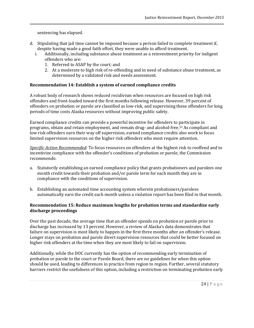sentencing has elapsed.

- d. Stipulating that jail time cannot be imposed because a person failed to complete treatment if, despite having made a good faith effort, they were unable to afford treatment.
	- i. Additionally, including substance abuse treatment as a reinvestment priority for indigent offenders who are:
		- 1. Referred to ASAP by the court; and
		- 2. At a moderate to high risk of re-offending and in need of substance abuse treatment, as determined by a validated risk and needs assessment.

#### **Recommendation 14: Establish a system of earned compliance credits**

A robust body of research shows reduced recidivism when resources are focused on high risk offenders and front-loaded toward the first months following release. However, 39 percent of offenders on probation or parole are classified as low-risk, and supervising these offenders for long periods of time costs Alaska resources without improving public safety.

Earned compliance credits can provide a powerful incentive for offenders to participate in programs, obtain and retain employment, and remain drug‐ and alcohol‐free.<sup>53</sup> As compliant and low risk offenders earn their way off supervision, earned compliance credits also work to focus limited supervision resources on the higher risk offenders who most require attention.

*Specific Action Recommended:* To focus resources on offenders at the highest risk to reoffend and to incentivize compliance with the offender's conditions of probation or parole, the Commission recommends:

- a. Statutorily establishing an earned compliance policy that grants probationers and parolees one month credit towards their probation and/or parole term for each month they are in compliance with the conditions of supervision.
- b. Establishing an automated time accounting system wherein probationers/parolees automatically earn the credit each month unless a violation report has been filed in that month.

### **Recommendation 15: Reduce maximum lengths for probation terms and standardize early discharge proceedings**

Over the past decade, the average time that an offender spends on probation or parole prior to discharge has increased by 13 percent. However, a review of Alaska's data demonstrates that failure on supervision is most likely to happen in the first three months after an offender's release. Longer stays on probation and parole divert supervision resources that could be better focused on higher risk offenders at the time when they are most likely to fail on supervision.

Additionally, while the DOC currently has the option of recommending early termination of probation or parole to the court or Parole Board, there are no guidelines for when this option should be used, leading to differences in practice from region to region. Further, several statutory barriers restrict the usefulness of this option, including a restriction on terminating probation early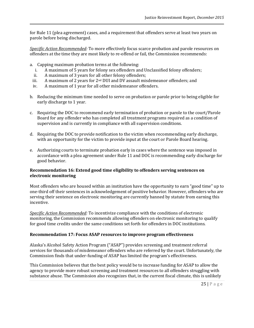for Rule 11 (plea agreement) cases, and a requirement that offenders serve at least two years on parole before being discharged.

*Specific Action Recommended:* To more effectively focus scarce probation and parole resources on offenders at the time they are most likely to re-offend or fail, the Commission recommends:

- a. Capping maximum probation terms at the following:
	- i. A maximum of 5 years for felony sex offenders and Unclassified felony offenders;
	- ii. A maximum of 3 years for all other felony offenders;
- iii. A maximum of 2 years for 2<sup>nd</sup> DUI and DV assault misdemeanor offenders; and
- iv. A maximum of 1 year for all other misdemeanor offenders.
- b. Reducing the minimum time needed to serve on probation or parole prior to being eligible for early discharge to 1 year.
- c. Requiring the DOC to recommend early termination of probation or parole to the court/Parole Board for any offender who has completed all treatment programs required as a condition of supervision and is currently in compliance with all supervision conditions.
- d. Requiring the DOC to provide notification to the victim when recommending early discharge, with an opportunity for the victim to provide input at the court or Parole Board hearing.
- e. Authorizing courts to terminate probation early in cases where the sentence was imposed in accordance with a plea agreement under Rule 11 and DOC is recommending early discharge for good behavior.

### **Recommendation 16: Extend good time eligibility to offenders serving sentences on electronic monitoring**

Most offenders who are housed within an institution have the opportunity to earn "good time" up to one-third off their sentences in acknowledgement of positive behavior. However, offenders who are serving their sentence on electronic monitoring are currently banned by statute from earning this incentive.

*Specific Action Recommended:* To incentivize compliance with the conditions of electronic monitoring, the Commission recommends allowing offenders on electronic monitoring to qualify for good time credits under the same conditions set forth for offenders in DOC institutions.

### **Recommendation 17: Focus ASAP resources to improve program effectiveness**

Alaska's Alcohol Safety Action Program ("ASAP") provides screening and treatment referral services for thousands of misdemeanor offenders who are referred by the court. Unfortunately, the Commission finds that under-funding of ASAP has limited the program's effectiveness.

This Commission believes that the best policy would be to increase funding for ASAP to allow the agency to provide more robust screening and treatment resources to all offenders struggling with substance abuse. The Commission also recognizes that, in the current fiscal climate, this is unlikely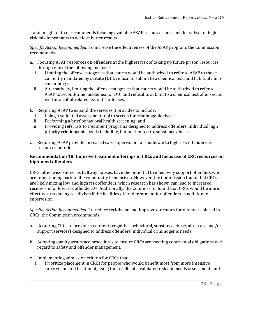– and in light of that, recommends focusing available ASAP resources on a smaller subset of highrisk misdemeanants to achieve better results.

*Specific Action Recommended:* To increase the effectiveness of the ASAP program, the Commission recommends:

- a. Focusing ASAP resources on offenders at the highest risk of taking up future prison resources through one of the following means:<sup>54</sup>
	- i. Limiting the offense categories that courts would be authorized to refer to ASAP to those currently mandated by statute (DUI, refusal to submit to a chemical test, and habitual minor consuming).
	- ii. Alternatively, limiting the offense categories that courts would be authorized to refer to ASAP to second-time misdemeanor DUI and refusal to submit to a chemical test offenses, as well as alcohol-related assault 4 offenses.
- b. Requiring ASAP to expand the services it provides to include:
	- i. Using a validated assessment tool to screen for criminogenic risk;
	- ii. Performing a brief behavioral health screening; and
- iii. Providing referrals to treatment programs designed to address offenders' individual high priority criminogenic needs including, but not limited to, substance abuse.
- c. Requiring ASAP provide increased case supervision for moderate to high risk offenders as resources permit.

### **Recommendation 18: Improve treatment offerings in CRCs and focus use of CRC resources on high-need offenders**

CRCs, otherwise known as halfway houses, have the potential to effectively support offenders who are transitioning back to the community from prison. However, the Commission found that CRCs are likely mixing low and high risk offenders, which research has shown can lead to increased recidivism for low risk offenders.<sup>55</sup> Additionally, the Commission found that CRCs would be more effective at reducing recidivism if the facilities offered treatment for offenders in addition to supervision.

*Specific Action Recommended:* To reduce recidivism and improve outcomes for offenders placed in CRCs, the Commission recommends:

- a. Requiring CRCs to provide treatment (cognitive-behavioral, substance abuse, after care and/or support services) designed to address offenders' individual criminogenic needs.
- b. Adopting quality assurance procedures to ensure CRCs are meeting contractual obligations with regard to safety and offender management.
- c. Implementing admission criteria for CRCs that:
	- i. Prioritize placement in CRCs for people who would benefit most from more intensive supervision and treatment, using the results of a validated risk and needs assessment; and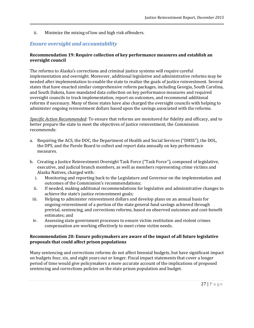ii. Minimize the mixing of low and high risk offenders.

## *Ensure oversight and accountability*

### **Recommendation 19: Require collection of key performance measures and establish an oversight council**

The reforms to Alaska's corrections and criminal justice systems will require careful implementation and oversight. Moreover, additional legislative and administrative reforms may be needed after implementation to enable the state to realize the goals of justice reinvestment. Several states that have enacted similar comprehensive reform packages, including Georgia, South Carolina, and South Dakota, have mandated data collection on key performance measures and required oversight councils to track implementation, report on outcomes, and recommend additional reforms if necessary. Many of these states have also charged the oversight councils with helping to administer ongoing reinvestment dollars based upon the savings associated with the reforms.

*Specific Action Recommended*: To ensure that reforms are monitored for fidelity and efficacy, and to better prepare the state to meet the objectives of justice reinvestment, the Commission recommends:

- a. Requiring the ACS, the DOC, the Department of Health and Social Services ("DHSS"), the DOL, the DPS, and the Parole Board to collect and report data annually on key performance measures.
- b. Creating a Justice Reinvestment Oversight Task Force ("Task Force"), composed of legislative, executive, and judicial branch members, as well as members representing crime victims and Alaska Natives, charged with:
	- i. Monitoring and reporting back to the Legislature and Governor on the implementation and outcomes of the Commission's recommendations;
	- ii. If needed, making additional recommendations for legislative and administrative changes to achieve the state's justice reinvestment goals;
	- iii. Helping to administer reinvestment dollars and develop plans on an annual basis for ongoing reinvestment of a portion of the state general fund savings achieved through pretrial, sentencing, and corrections reforms, based on observed outcomes and cost-benefit estimates; and
	- iv. Assessing state government processes to ensure victim restitution and violent crimes compensation are working effectively to meet crime victim needs.

#### **Recommendation 20: Ensure policymakers are aware of the impact of all future legislative proposals that could affect prison populations**

Many sentencing and corrections reforms do not affect biennial budgets, but have significant impact on budgets four, six, and eight years out or longer. Fiscal impact statements that cover a longer period of time would give policymakers a more accurate account of the implications of proposed sentencing and corrections policies on the state prison population and budget.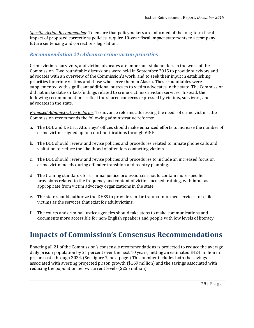*Specific Action Recommended*: To ensure that policymakers are informed of the long-term fiscal impact of proposed corrections policies, require 10-year fiscal impact statements to accompany future sentencing and corrections legislation.

### *Recommendation 21: Advance crime victim priorities*

Crime victims, survivors, and victim advocates are important stakeholders in the work of the Commission. Two roundtable discussions were held in September 2015 to provide survivors and advocates with an overview of the Commission's work, and to seek their input in establishing priorities for crime victims and those who serve them in Alaska. These roundtables were supplemented with significant additional outreach to victim advocates in the state. The Commission did not make data- or fact-findings related to crime victims or victim services. Instead, the following recommendations reflect the shared concerns expressed by victims, survivors, and advocates in the state.

*Proposed Administrative Reforms*: To advance reforms addressing the needs of crime victims, the Commission recommends the following administrative reforms:

- a. The DOL and District Attorneys' offices should make enhanced efforts to increase the number of crime victims signed up for court notifications through VINE.
- b. The DOC should review and revise policies and procedures related to inmate phone calls and visitation to reduce the likelihood of offenders contacting victims.
- c. The DOC should review and revise policies and procedures to include an increased focus on crime victim needs during offender transition and reentry planning.
- d. The training standards for criminal justice professionals should contain more specific provisions related to the frequency and content of victim-focused training, with input as appropriate from victim advocacy organizations in the state.
- e. The state should authorize the DHSS to provide similar trauma-informed services for child victims as the services that exist for adult victims.
- f. The courts and criminal justice agencies should take steps to make communications and documents more accessible for non-English speakers and people with low levels of literacy.

# **Impacts of Commission's Consensus Recommendations**

Enacting all 21 of the Commission's consensus recommendations is projected to reduce the average daily prison population by 21 percent over the next 10 years, netting an estimated \$424 million in prison costs through 2024. (See figure 7, next page.) This number includes both the savings associated with averting projected prison growth (\$169 million) and the savings associated with reducing the population below current levels (\$255 million).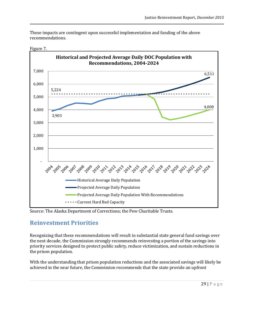These impacts are contingent upon successful implementation and funding of the above recommendations.



#### Figure 7.

Source: The Alaska Department of Corrections; the Pew Charitable Trusts.

## **Reinvestment Priorities**

Recognizing that these recommendations will result in substantial state general fund savings over the next decade, the Commission strongly recommends reinvesting a portion of the savings into priority services designed to protect public safety, reduce victimization, and sustain reductions in the prison population.

With the understanding that prison population reductions and the associated savings will likely be achieved in the near future, the Commission recommends that the state provide an upfront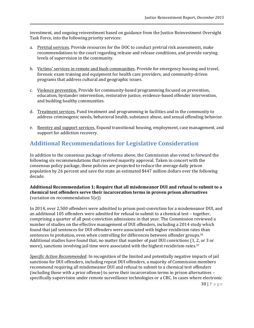investment, and ongoing reinvestment based on guidance from the Justice Reinvestment Oversight Task Force, into the following priority services:

- a. Pretrial services. Provide resources for the DOC to conduct pretrial risk assessments, make recommendations to the court regarding release and release conditions, and provide varying levels of supervision in the community.
- b. Victims' services in remote and bush communities. Provide for emergency housing and travel, forensic exam training and equipment for health care providers, and community-driven programs that address cultural and geographic issues.
- c. Violence prevention. Provide for community-based programming focused on prevention, education, bystander intervention, restorative justice, evidence-based offender intervention, and building healthy communities.
- d. Treatment services. Fund treatment and programming in facilities and in the community to address criminogenic needs, behavioral health, substance abuse, and sexual offending behavior.
- e. Reentry and support services. Expand transitional housing, employment, case management, and support for addiction recovery.

# **Additional Recommendations for Legislative Consideration**

In addition to the consensus package of reforms above, the Commission also voted to forward the following six recommendations that received majority approval. Taken in concert with the consensus policy package, these policies are projected to reduce the average daily prison population by 26 percent and save the state an estimated \$447 million dollars over the following decade.

### **Additional Recommendation 1: Require that all misdemeanor DUI and refusal to submit to a chemical test offenders serve their incarceration terms in proven prison alternatives**  (variation on recommendation 5(e))

In 2014, over 2,500 offenders were admitted to prison post-conviction for a misdemeanor DUI, and an additional 105 offenders were admitted for refusal to submit to a chemical test – together, comprising a quarter of all post-conviction admissions in that year. The Commission reviewed a number of studies on the effective management of DUI offenders, including a 2014 study which found that jail sentences for DUI offenders were associated with higher recidivism rates than sentences to probation, even when controlling for differences between offender groups.<sup>56</sup> Additional studies have found that, no matter that number of past DUI convictions (1, 2, or 3 or more), sanctions involving jail time were associated with the highest recidivism rates.<sup>57</sup>

*Specific Action Recommended*: In recognition of the limited and potentially negative impacts of jail sanctions for DUI offenders, including repeat DUI offenders, a majority of Commission members recommend requiring all misdemeanor DUI and refusal to submit to a chemical test offenders (including those with a prior offense) to serve their incarceration terms in prison alternatives – specifically supervision under remote surveillance technologies or a CRC. In cases where electronic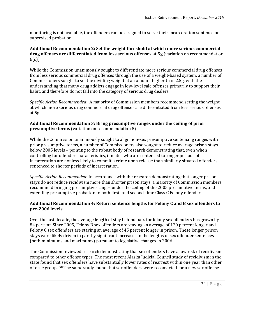monitoring is not available, the offenders can be assigned to serve their incarceration sentence on supervised probation.

### **Additional Recommendation 2: Set the weight threshold at which more serious commercial drug offenses are differentiated from less serious offenses at 5g** (variation on recommendation 6(c))

While the Commission unanimously sought to differentiate more serious commercial drug offenses from less serious commercial drug offenses through the use of a weight-based system, a number of Commissioners sought to set the dividing weight at an amount higher than 2.5g, with the understanding that many drug addicts engage in low-level sale offenses primarily to support their habit, and therefore do not fall into the category of serious drug dealers.

*Specific Action Recommended*: A majority of Commission members recommend setting the weight at which more serious drug commercial drug offenses are differentiated from less serious offenses at 5g.

### **Additional Recommendation 3: Bring presumptive ranges under the ceiling of prior presumptive terms** (variation on recommendation 8)

While the Commission unanimously sought to align non-sex presumptive sentencing ranges with prior presumptive terms, a number of Commissioners also sought to reduce average prison stays below 2005 levels – pointing to the robust body of research demonstrating that, even when controlling for offender characteristics, inmates who are sentenced to longer periods of incarceration are not less likely to commit a crime upon release than similarly situated offenders sentenced to shorter periods of incarceration.

*Specific Action Recommended*: In accordance with the research demonstrating that longer prison stays do not reduce recidivism more than shorter prison stays, a majority of Commission members recommend bringing presumptive ranges under the ceiling of the 2005 presumptive terms, and extending presumptive probation to both first- and second-time Class C Felony offenders.

### **Additional Recommendation 4: Return sentence lengths for Felony C and B sex offenders to pre-2006 levels**

Over the last decade, the average length of stay behind bars for felony sex offenders has grown by 84 percent. Since 2005, Felony B sex offenders are staying an average of 120 percent longer and Felony C sex offenders are staying an average of 45 percent longer in prison. These longer prison stays were likely driven in part by significant increases in the lengths of sex offender sentences (both minimums and maximums) pursuant to legislative changes in 2006.

The Commission reviewed research demonstrating that sex offenders have a low risk of recidivism compared to other offense types. The most recent Alaska Judicial Council study of recidivism in the state found that sex offenders have substantially lower rates of rearrest within one year than other offense groups.<sup>58</sup> The same study found that sex offenders were reconvicted for a new sex offense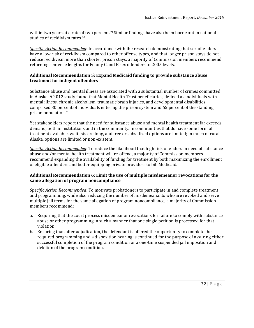within two years at a rate of two percent.<sup>59</sup> Similar findings have also been borne out in national studies of recidivism rates.<sup>60</sup>

*Specific Action Recommended*: In accordance with the research demonstrating that sex offenders have a low risk of recidivism compared to other offense types, and that longer prison stays do not reduce recidivism more than shorter prison stays, a majority of Commission members recommend returning sentence lengths for Felony C and B sex offenders to 2005 levels.

#### **Additional Recommendation 5: Expand Medicaid funding to provide substance abuse treatment for indigent offenders**

Substance abuse and mental illness are associated with a substantial number of crimes committed in Alaska. A 2012 study found that Mental Health Trust beneficiaries, defined as individuals with mental illness, chronic alcoholism, traumatic brain injuries, and developmental disabilities, comprised 30 percent of individuals entering the prison system and 65 percent of the standing prison population. 61

Yet stakeholders report that the need for substance abuse and mental health treatment far exceeds demand, both in institutions and in the community. In communities that do have some form of treatment available, waitlists are long, and free or subsidized options are limited; in much of rural Alaska, options are limited or non-existent.

*Specific Action Recommended*: To reduce the likelihood that high risk offenders in need of substance abuse and/or mental health treatment will re-offend, a majority of Commission members recommend expanding the availability of funding for treatment by both maximizing the enrollment of eligible offenders and better equipping private providers to bill Medicaid.

### **Additional Recommendation 6: Limit the use of multiple misdemeanor revocations for the same allegation of program noncompliance**

*Specific Action Recommended*: To motivate probationers to participate in and complete treatment and programming, while also reducing the number of misdemeanants who are revoked and serve multiple jail terms for the same allegation of program noncompliance, a majority of Commission members recommend:

- a. Requiring that the court process misdemeanor revocations for failure to comply with substance abuse or other programming in such a manner that one single petition is processed for that violation.
- b. Ensuring that, after adjudication, the defendant is offered the opportunity to complete the required programming and a disposition hearing is continued for the purpose of assuring either successful completion of the program condition or a one-time suspended jail imposition and deletion of the program condition.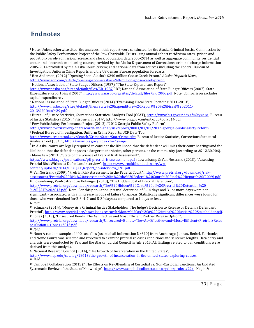# **Endnotes**

 $\overline{\phantom{a}}$ 

<sup>1</sup> Note: Unless otherwise cited, the analyses in this report were conducted for the Alaska Criminal Justice Commission by the Public Safety Performance Project of the Pew Charitable Trusts using annual cohort recidivism rates, prison and probation/parole admission, release, and stock population data 2005-2014 as well as aggregate community residential center and electronic monitoring counts provided by the Alaska Department of Corrections; criminal charge information 2005-2014 provided by the Alaska Court System; and national data from sources including the Federal Bureau of Investigation Uniform Crime Reports and the US Census Bureau population forecasts.

<sup>2</sup> Ben Anderson, (2012) "Opening Soon: Alaska's \$240 million Goose Creek Prison," *Alaska Dispatch News*,

[http://www.adn.com/article/opening-soon-alaskas-240-million-goose-creek-prison.](http://www.adn.com/article/opening-soon-alaskas-240-million-goose-creek-prison)  <sup>3</sup> National Association of State Budget Officers (1987), "The State Expenditure Report",

[http://www.nasbo.org/sites/default/files/ER\\_1987.](http://www.nasbo.org/sites/default/files/ER_1987)PDF; National Association of State Budget Officers (2007), State Expenditure Report Fiscal 2006", [http://www.nasbo.org/sites/default/files/ER\\_2006.pdf.](http://www.nasbo.org/sites/default/files/ER_2006.pdf) Note: Comparison excludes capital expenditures.

<sup>4</sup> National Association of State Budget Officers (2014) "Examining Fiscal State Spending 2011-2013", [http://www.nasbo.org/sites/default/files/State%20Expenditure%20Report%20%28Fiscal%202011-](http://www.nasbo.org/sites/default/files/State%20Expenditure%20Report%20%28Fiscal%202011-2013%20Data%29.pdf) [2013%20Data%29.pdf.](http://www.nasbo.org/sites/default/files/State%20Expenditure%20Report%20%28Fiscal%202011-2013%20Data%29.pdf)

<sup>5</sup> Bureau of Justice Statistics, Corrections Statistical Analysis Tool (CSAT), [http://www.bjs.gov/index.cfm?ty=nps;](http://www.bjs.gov/index.cfm?ty=nps) Bureau of Justice Statistics (2015), "Prisoners in 2014", http://www.bjs.gov/content/pub/pdf/p14.pdf.

<sup>6</sup> Pew Public Safety Performance Project (2012), "2012 Georgia Public Safety Reform",

[http://www.pewtrusts.org/en/research-and-analysis/reports/0001/01/01/2012-georgia-public-safety-reform.](http://www.pewtrusts.org/en/research-and-analysis/reports/0001/01/01/2012-georgia-public-safety-reform)  <sup>7</sup> Federal Bureau of Investigation, Uniform Crime Reports, UCR Data Tool

[http://www.ucrdatatool.gov/Search/Crime/State/StateCrime.cfm;](http://www.ucrdatatool.gov/Search/Crime/State/StateCrime.cfm) Bureau of Justice Statistics, Corrections Statistical Analysis Tool (CSAT)[, http://www.bjs.gov/index.cfm?ty=nps.](http://www.bjs.gov/index.cfm?ty=nps) 

 $^8$  In Alaska, courts are legally required to consider the likelihood that the defendant will miss their court hearings and the likelihood that the defendant poses a danger to the victim, other persons, or the community (according to AS 12.30.006). <sup>9</sup> Mamalian (2011), "State of the Science of Pretrial Risk Assessment",

[https://www.bja.gov/publications/pji\\_pretrialriskassessment.pdf](https://www.bja.gov/publications/pji_pretrialriskassessment.pdf) ; Lowenkamp & Van Nostrand (2013), "Assessing Pretrial Risk Without a Defendant Interview", [http://www.arnoldfoundation.org/wp-](http://www.arnoldfoundation.org/wp-content/uploads/2014/02/LJAF_Report_no-interview_FNL.pdf)

content/uploads/2014/02/LJAF\_Report\_no-interview\_FNL.pdf.

<sup>10</sup> VanNostrand (2009), "Pretrial Risk Assessment in the Federal Court", [http://www.pretrial.org/download/risk](http://www.pretrial.org/download/risk-assessment/Pretrial%20Risk%20Assessment%20in%20the%20Federal%20Court%20Final%20Report%20(2009).pdf)[assessment/Pretrial%20Risk%20Assessment%20in%20the%20Federal%20Court%20Final%20Report%20\(2009\).pdf.](http://www.pretrial.org/download/risk-assessment/Pretrial%20Risk%20Assessment%20in%20the%20Federal%20Court%20Final%20Report%20(2009).pdf)  <sup>11</sup> Lowenkamp, VanNostrand, & Holsinger (2013), "The Hidden Cost of Pretrial Detention",

[http://www.pretrial.org/download/research/The%20Hidden%20Costs%20of%20Pretrial%20Detention%20-](http://www.pretrial.org/download/research/The%20Hidden%20Costs%20of%20Pretrial%20Detention%20-%20LJAF%202013.pdf)

[%20LJAF%202013.pdf.](http://www.pretrial.org/download/research/The%20Hidden%20Costs%20of%20Pretrial%20Detention%20-%20LJAF%202013.pdf) Note: For this population, pretrial detention of 8-14 days and 31 or more days were not significantly associated with an increase in odds of failure to appear. Statistically significant differences were found for those who were detained for 2-3, 4-7, and 5-30 days as compared to 1 days or less. <sup>12</sup> *Ibid*.

<sup>13</sup> Schnacke (2014), "Money As a Criminal Justice Stakeholder: The Judge's Decision to Release or Detain a Defendant Pretrial", [http://www.pretrial.org/download/research/Money%20as%20a%20Criminal%20Justice%20Stakeholder.pdf.](http://www.pretrial.org/download/research/Money%20as%20a%20Criminal%20Justice%20Stakeholder.pdf)  <sup>14</sup> Jones (2013), "Unsecured Bonds: The As Effective and Most Efficient Pretrial Release Option",

[http://www.pretrial.org/download/research/Unsecured+Bonds,+The+As+Effective+and+Most+Efficient+Pretrial+Relea](http://www.pretrial.org/download/research/Unsecured+Bonds,+The+As+Effective+and+Most+Efficient+Pretrial+Release+Option+-+Jones+2013.pdf) [se+Option+-+Jones+2013.pdf.](http://www.pretrial.org/download/research/Unsecured+Bonds,+The+As+Effective+and+Most+Efficient+Pretrial+Release+Option+-+Jones+2013.pdf) 

<sup>15</sup> *Ibid*.

<sup>16</sup> Note: A random sample of 400 case files (usable bail information N=310) from Anchorage, Juneau, Bethel, Fairbanks, and Nome Courts was selected and reviewed to examine pretrial releases conditions and sentence lengths. Data entry and analysis were conducted by Pew and the Alaska Judicial Council in July 2015. All findings related to bail conditions were derived from this analysis.

<sup>17</sup> National Research Council (2014), "The Growth of Incarceration in the United States",

[http://www.nap.edu/catalog/18613/the-growth-of-incarceration-in-the-united-states-exploring-causes.](http://www.nap.edu/catalog/18613/the-growth-of-incarceration-in-the-united-states-exploring-causes)  <sup>18</sup> *Ibid*.

<sup>19</sup> Campbell Collaboration (2015)," The Effects on Re-Offending of Custodial vs. Non-Custodial Sanctions: An Updated Systematic Review of the State of Knowledge", <http://www.campbellcollaboration.org/lib/project/22/> ; Nagin &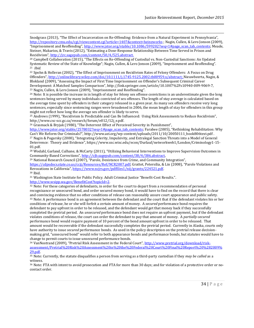Snodgrass (2013), "The Effect of Incarceration on Re-Offending: Evidence from a Natural Experiment in Pennsylvania", <http://repository.cmu.edu/cgi/viewcontent.cgi?article=1407&context=heinzworks> ; Nagin, Cullen, & Lero Jonson (2009), "Imprisonment and Reoffending", [http://www.jstor.org/stable/10.1086/599202?seq=1#page\\_scan\\_tab\\_contents;](http://www.jstor.org/stable/10.1086/599202?seq=1#page_scan_tab_contents) Meade, Steiner, Makarios, & Travis (2012), "Estimating a Dose-Response Relationship Between Time Served in Prison and Recidivism", [http://jrc.sagepub.com/content/50/4/525.abstract.](http://jrc.sagepub.com/content/50/4/525.abstract)

<sup>20</sup> Campbell Collaboration (2015), "The Effects on Re-Offending of Custodial vs. Non-Custodial Sanctions: An Updated Systematic Review of the State of Knowledge"; Nagin, Cullen, & Lero Jonson (2009), "Imprisonment and Reoffending". <sup>21</sup> *Ibid.* 

<sup>22</sup> Spohn & Holleran (2002), "The Effect of Imprisonment on Recidivism Rates of Felony Offenders: A Focus on Drug Offenders", [http://onlinelibrary.wiley.com/doi/10.1111/j.1745-9125.2002.tb00959.x/abstract;](http://onlinelibrary.wiley.com/doi/10.1111/j.1745-9125.2002.tb00959.x/abstract) Nieuwbeerta, Nagin, & Blokland (2009), "Assessing the Impact of First Time Imprisonment on Offender's Subsequent Criminal Career Development: A Matched Samples Comparison", http://link.springer.com/article/10.1007%2Fs10940-009-9069-7, <sup>23</sup> Nagin, Cullen, & Lero Jonson (2009), "Imprisonment and Reoffending".

<sup>24</sup> Note: It is possible the increase in in length of stay for felony sex offense convictions is an underestimate given the long sentences being served by many individuals convicted of sex offenses. The length of stay average is calculated based on the average time spent by offenders in their category released in a given year. As many sex offenders receive very long sentences, especially since sentencing ranges were broadened in 2006, the mean length of stay for offenders in this group might not reflect how long the average sex offender is likely to serve.

<sup>25</sup> Andrews (1999), "Recidivism Is Predictable and Can Be Influenced: Using Risk Assessments to Reduce Recidivism", http://www.csc-scc.gc.ca/research/forum/e012/12j\_e.pdf.

<sup>26</sup> Grasmack & Bryjak (1980), "The Deterrent Effect of Perceived Severity in Punishment",

[http://www.jstor.org/stable/2578032?seq=1#page\\_scan\\_tab\\_contents](http://www.jstor.org/stable/2578032?seq=1#page_scan_tab_contents); Farabee (2005), "Rethinking Rehabilitation: Why Can't We Reform Our Criminals?", http://www.aei.org/wp-content/uploads/2011/10/20050111\_book806text.pdf . <sup>27</sup> Nagin & Pogarsky (2000), "Integrating Celerity, Impulsivity, and Extralegal Sanction Threats into a Model of General Deterrence: Theory and Evidence", https://www.ssc.wisc.edu/econ/Durlauf/networkweb1/London/Criminology1-15- 01.pdf.

<sup>28</sup> Wodahl, Garland, Culhane, & McCarty (2011), "Utilizing Behavioral Interventions to Improve Supervision Outcomes in Community-Based Corrections", [http://cjb.sagepub.com/content/38/4/386.abstract,](http://cjb.sagepub.com/content/38/4/386.abstract) 

<sup>29</sup> National Research Council (2007), "Parole, Desistance from Crime, and Community Integration",

<https://cdpsdocs.state.co.us/ccjj/Resources/Ref/NCR2007.pdf>; Grattet, Petersilia, & Lin (2008), "Parole Violations and Revocations in California", [https://www.ncjrs.gov/pdffiles1/nij/grants/224521.pdf.](https://www.ncjrs.gov/pdffiles1/nij/grants/224521.pdf)

<sup>30</sup> Ibid.

 $\overline{\phantom{a}}$ 

<sup>31</sup> Washington State Institute for Public Policy. Adult Criminal Justice "Benefit-Cost Results.". [http://www.wsipp.wa.gov/BenefitCost?topicId=2.](http://www.wsipp.wa.gov/BenefitCost?topicId=2) 

<sup>32</sup> Note: For these categories of defendants, in order for the court to depart from a recommendation of personal recognizance or unsecured bond, and order secured money bond, it would have to find on the record that there is clear and convincing evidence that no other conditions of release can reasonably assure court appearance and public safety. <sup>33</sup> Note: A performance bond is an agreement between the defendant and the court that if the defendant violates his or her conditions of release, he or she will forfeit a certain amount of money. A *secured* performance bond requires the defendant to pay upfront in order to be released, and the defendant would get that money back if they successfully completed the pretrial period. An *unsecured* performance bond does not require an upfront payment, but if the defendant violates conditions of release, the court can order the defendant to pay that amount of money. A *partially-secured* performance bond would require payment of 10 percent of the bond amount upfront in order to be released. That amount would be recoverable if the defendant successfully completes the pretrial period. Currently in Alaska, courts only have authority to issue *secured* performance bonds. As used in the policy description on the pretrial release decisionmaking grid, "unsecured bond" would refer to both appearance bonds and performance bonds, but statutes would have to change to permit courts to issue unsecured performance bonds.

<sup>34</sup> VanNostrand (2009), "Pretrial Risk Assessment in the Federal Court", [http://www.pretrial.org/download/risk](http://www.pretrial.org/download/risk-assessment/Pretrial%20Risk%20Assessment%20in%20the%20Federal%20Court%20Final%20Report%20%282009%29.pdf)[assessment/Pretrial%20Risk%20Assessment%20in%20the%20Federal%20Court%20Final%20Report%20%282009%](http://www.pretrial.org/download/risk-assessment/Pretrial%20Risk%20Assessment%20in%20the%20Federal%20Court%20Final%20Report%20%282009%29.pdf) [29.pdf.](http://www.pretrial.org/download/risk-assessment/Pretrial%20Risk%20Assessment%20in%20the%20Federal%20Court%20Final%20Report%20%282009%29.pdf) 

<sup>35</sup> Note: Currently, the statute disqualifies a person from serving as a third-party custodian if they *may be called* as a witness.

<sup>36</sup> Note: FTA with intent to avoid prosecution and FTA for more than 30 days; and for violation of a protective order or nocontact order.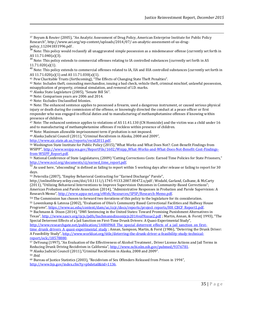<sup>37</sup> Boyum & Reuter (2005), "An Analytic Assessment of Drug Policy, American Enterprise Institute for Public Policy Research", http://www.aei.org/wp-content/uploads/2014/07/-an-analytic-assessment-of-us-drugpolicy\_112041831996.pdf .

 $^{38}$  Note: This policy would reclassify all unaggravated simple possession as a misdemeanor offense (currently set forth in AS 11.71.040(a)(3).

<sup>39</sup> Note: This policy extends to commercial offenses relating to IA controlled substances (currently set forth in AS 11.71.020(a)(1).

<sup>40</sup> Note: This policy extends to commercial offenses related to IA, IIA and IIIA controlled substances (currently set forth in AS 11.71.020(a)(1) and AS 11.71.030(a)(1).

<sup>41</sup> Pew Charitable Trusts (forthcoming), "The Effects of Changing State Theft Penalties".

42 Note: Includes theft, concealing merchandise, issuing a bad check, vehicle theft, criminal mischief, unlawful possession, misapplication of property, criminal simulation, and removal of I.D. marks.

<sup>43</sup> Alaska State Legislature (2005), "Senate Bill 56".

<sup>44</sup> Note: Comparison years are 2006 and 2014.

<sup>45</sup> Note: Excludes Unclassified felonies.

 $\overline{\phantom{a}}$ 

<sup>46</sup> Note: The enhanced sentence applies to possessed a firearm, used a dangerous instrument, or caused serious physical injury or death during the commission of the offense, or knowingly directed the conduct at a peace officer or first responder who was engaged in official duties and to manufacturing of methamphetamine offenses if knowing within presence of children.

<sup>47</sup> Note: The enhanced sentence applies to violations of AS 11.41.130 (CN Homicide) and the victim was a child under 16 and to manufacturing of methamphetamine offenses if reckless within presence of children.

<sup>48</sup> Note: Maximum allowable imprisonment term if probation is not imposed.

<sup>49</sup> Alaska Judicial Council (2011), "Criminal Recidivism in Alaska, 2008 and 2009",

[http://www.ajc.state.ak.us/reports/recid2011.pdf.](http://www.ajc.state.ak.us/reports/recid2011.pdf) 

<sup>50</sup> Washington State Institute for Public Policy (2015),"What Works and What Does Not?: Cost-Benefit Findings from WSIPP", [http://www.wsipp.wa.gov/ReportFile/1602/Wsipp\\_What-Works-and-What-Does-Not-Benefit-Cost-Findings](http://www.wsipp.wa.gov/ReportFile/1602/Wsipp_What-Works-and-What-Does-Not-Benefit-Cost-Findings-from-WSIPP_Report.pdf)[from-WSIPP\\_Report.pdf.](http://www.wsipp.wa.gov/ReportFile/1602/Wsipp_What-Works-and-What-Does-Not-Benefit-Cost-Findings-from-WSIPP_Report.pdf) 

<sup>51</sup> National Conference of State Legislatures, (2009) "Cutting Corrections Costs: Earned Time Policies for State Prisoners," http://www.ncsl.org/documents/cj/earned\_time\_report.pdf.

 $\frac{52}{12}$  As used here, "absconding" is defined as failing to report within 5 working days after release or failing to report for 30 days.

<sup>53</sup> Petersilia (2007), "Employ Behavioral Contracting for "Earned Discharge" Parole",

http://onlinelibrary.wiley.com/doi/10.1111/j.1745-9133.2007.00472.x/pdf ; Wodahl, Garland, Culhane, & McCarty (2011), "Utilizing Behavioral Interventions to Improve Supervision Outcomes in Community-Based Corrections"; American Probation and Parole Association (2014), "Administrative Responses in Probation and Parole Supervision: A Research Memo", [http://www.appa-net.org/eWeb/Resources/SPSP/Research-Memo.pdf.](http://www.appa-net.org/eWeb/Resources/SPSP/Research-Memo.pdf) 

<sup>54</sup> The Commission has chosen to forward two iterations of this policy to the legislature for its consideration. <sup>55</sup> Lowenkamp & Latessa (2002), "Evaluation of Ohio's Community Based Correctional Facilities and Halfway House Programs", [https://www.uc.edu/content/dam/uc/ccjr/docs/reports/project\\_reports/HH\\_CBCF\\_Report1.pdf.](https://www.uc.edu/content/dam/uc/ccjr/docs/reports/project_reports/HH_CBCF_Report1.pdf)

<sup>56</sup> Bachmann & Dixon (2014), "DWI Sentencing in the United States: Toward Promising Punishment Alternatives in Texas", <http://www.sascv.org/ijcjs/pdfs/bachmanndixsonijcjs2014vol9issue2.pdf> ; Martin, Annan, & Forst(1993), "The Special Deterrent Effects of a Jail Sanction on First-Time Drunk Drivers: A Quasi-Experimental Study",

http://www.researchgate.net/publication/14800968 The special deterrent effects of a jail sanction on first[time\\_drunk\\_drivers\\_A\\_quasi-experimental\\_study](http://www.researchgate.net/publication/14800968_The_special_deterrent_effects_of_a_jail_sanction_on_first-time_drunk_drivers_A_quasi-experimental_study) ; Annan, Sampson, Martin, & Forst (1986), "Deterring the Drunk Driver: A Feasibility Study", [http://www.worldcat.org/title/deterring-the-drunk-driver-a-feasibility-study-technical](http://www.worldcat.org/title/deterring-the-drunk-driver-a-feasibility-study-technical-report/oclc/18578880)[report/oclc/18578880.](http://www.worldcat.org/title/deterring-the-drunk-driver-a-feasibility-study-technical-report/oclc/18578880)

<sup>57</sup> DeYoung (1997), "An Evaluation of the Effectiveness of Alcohol Treatment , Driver License Actions and Jail Terms in Reducing Drunk Driving Recidivism in California", [http://www.ncbi.nlm.nih.gov/pubmed/9376781.](http://www.ncbi.nlm.nih.gov/pubmed/9376781) <sup>58</sup> Alaska Judicial Council (2011),"Criminal Recidivism in Alaska, 2008 and 2009".

<sup>59</sup> *Ibid.* 

<sup>60</sup> Bureau of Justice Statistics (2003), "Recidivism of Sex Offenders Released from Prison in 1994", [http://www.bjs.gov/index.cfm?ty=pbdetail&iid=1136.](http://www.bjs.gov/index.cfm?ty=pbdetail&iid=1136)